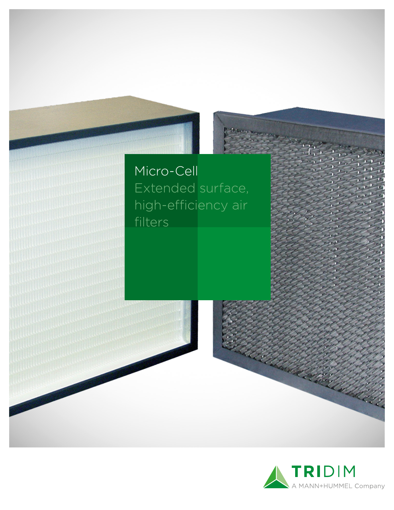### Micro-Cell Extended surface, high-efficiency air filters

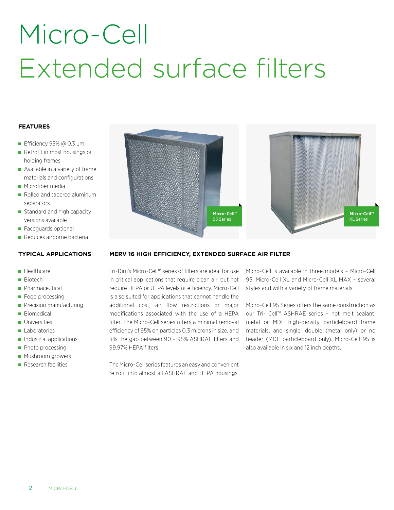# Micro-Cell Extended surface filters

#### **FEATURES**

- Efficiency  $95%$  @ 0.3 ym
- Retrofit in most housings or holding frames
- Available in a variety of frame materials and configurations
- **Microfiber media**
- Rolled and tapered aluminum separators
- Standard and high capacity versions available
- **Faceguards optional**
- Reduces airborne bacteria

#### **TYPICAL APPLICATIONS**

#### **Healthcare**

- **Biotech**
- **Pharmaceutical**
- Food processing
- Precision manufacturing
- Biomedical
- **Universities**
- **Laboratories**
- **Industrial applications**
- **Photo processing**
- **Mushroom growers**
- **Research facilities**



#### **MERV 16 HIGH EFFICIENCY, EXTENDED SURFACE AIR FILTER**

Tri-Dim's Micro-Cell™ series of filters are ideal for use in critical applications that require clean air, but not require HEPA or ULPA levels of efficiency. Micro-Cell is also suited for applications that cannot handle the additional cost, air flow restrictions or major modifications associated with the use of a HEPA filter. The Micro-Cell series offers a minimal removal efficiency of 95% on particles 0.3 microns in size, and fills the gap between 90 – 95% ASHRAE filters and 99.97% HEPA filters.

The Micro-Cell series features an easy and convenient retrofit into almost all ASHRAE and HEPA housings.

Micro-Cell is available in three models – Micro-Cell 95, Micro-Cell XL and Micro-Cell XL MAX – several styles and with a variety of frame materials.

Micro-Cell 95 Series offers the same construction as our Tri- Cell™ ASHRAE series – hot melt sealant, metal or MDF high-density particleboard frame materials, and single, double (metal only) or no header (MDF particleboard only). Micro-Cell 95 is also available in six and 12 inch depths.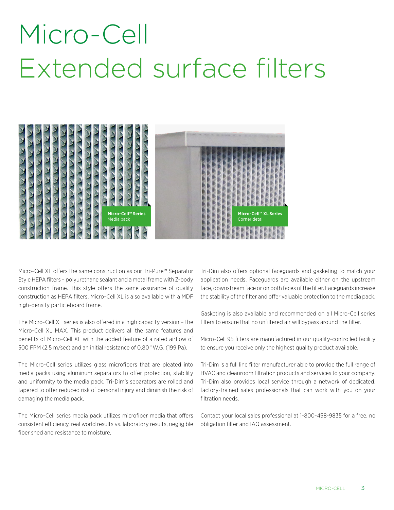### Micro-Cell Extended surface filters



Micro-Cell XL offers the same construction as our Tri-Pure™ Separator Style HEPA filters – polyurethane sealant and a metal frame with Z-body construction frame. This style offers the same assurance of quality construction as HEPA filters. Micro-Cell XL is also available with a MDF high-density particleboard frame.

The Micro-Cell XL series is also offered in a high capacity version – the Micro-Cell XL MAX. This product delivers all the same features and benefits of Micro-Cell XL with the added feature of a rated airflow of 500 FPM (2.5 m/sec) and an initial resistance of 0.80 "W.G. (199 Pa).

The Micro-Cell series utilizes glass microfibers that are pleated into media packs using aluminum separators to offer protection, stability and uniformity to the media pack. Tri-Dim's separators are rolled and tapered to offer reduced risk of personal injury and diminish the risk of damaging the media pack.

The Micro-Cell series media pack utilizes microfiber media that offers consistent efficiency, real world results vs. laboratory results, negligible fiber shed and resistance to moisture.

Tri-Dim also offers optional faceguards and gasketing to match your application needs. Faceguards are available either on the upstream face, downstream face or on both faces of the filter. Faceguards increase the stability of the filter and offer valuable protection to the media pack.

Gasketing is also available and recommended on all Micro-Cell series filters to ensure that no unfiltered air will bypass around the filter.

Micro-Cell 95 filters are manufactured in our quality-controlled facility to ensure you receive only the highest quality product available.

Tri-Dim is a full line filter manufacturer able to provide the full range of HVAC and cleanroom filtration products and services to your company. Tri-Dim also provides local service through a network of dedicated, factory-trained sales professionals that can work with you on your filtration needs.

Contact your local sales professional at 1-800-458-9835 for a free, no obligation filter and IAQ assessment.